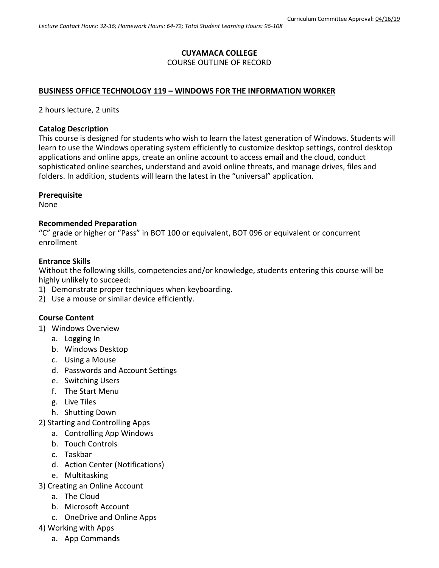# **CUYAMACA COLLEGE**

### COURSE OUTLINE OF RECORD

# **BUSINESS OFFICE TECHNOLOGY 119 – WINDOWS FOR THE INFORMATION WORKER**

2 hours lecture, 2 units

#### **Catalog Description**

This course is designed for students who wish to learn the latest generation of Windows. Students will learn to use the Windows operating system efficiently to customize desktop settings, control desktop applications and online apps, create an online account to access email and the cloud, conduct sophisticated online searches, understand and avoid online threats, and manage drives, files and folders. In addition, students will learn the latest in the "universal" application.

### **Prerequisite**

None

### **Recommended Preparation**

"C" grade or higher or "Pass" in BOT 100 or equivalent, BOT 096 or equivalent or concurrent enrollment

### **Entrance Skills**

Without the following skills, competencies and/or knowledge, students entering this course will be highly unlikely to succeed:

- 1) Demonstrate proper techniques when keyboarding.
- 2) Use a mouse or similar device efficiently.

# **Course Content**

- 1) Windows Overview
	- a. Logging In
	- b. Windows Desktop
	- c. Using a Mouse
	- d. Passwords and Account Settings
	- e. Switching Users
	- f. The Start Menu
	- g. Live Tiles
	- h. Shutting Down
- 2) Starting and Controlling Apps
	- a. Controlling App Windows
	- b. Touch Controls
	- c. Taskbar
	- d. Action Center (Notifications)
	- e. Multitasking
- 3) Creating an Online Account
	- a. The Cloud
	- b. Microsoft Account
	- c. OneDrive and Online Apps
- 4) Working with Apps
	- a. App Commands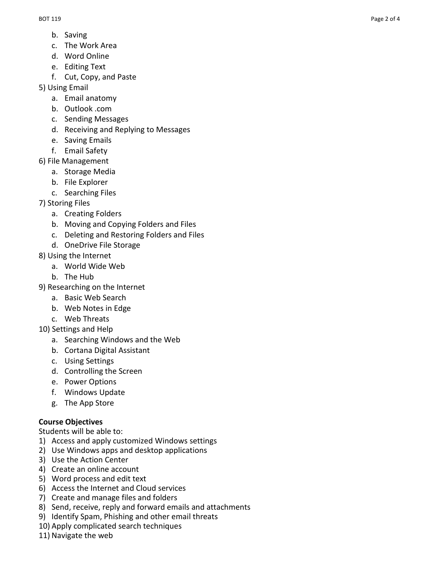- b. Saving
- c. The Work Area
- d. Word Online
- e. Editing Text
- f. Cut, Copy, and Paste
- 5) Using Email
	- a. Email anatomy
	- b. Outlook .com
	- c. Sending Messages
	- d. Receiving and Replying to Messages
	- e. Saving Emails
	- f. Email Safety
- 6) File Management
	- a. Storage Media
	- b. File Explorer
	- c. Searching Files
- 7) Storing Files
	- a. Creating Folders
	- b. Moving and Copying Folders and Files
	- c. Deleting and Restoring Folders and Files
	- d. OneDrive File Storage
- 8) Using the Internet
	- a. World Wide Web
	- b. The Hub
- 9) Researching on the Internet
	- a. Basic Web Search
	- b. Web Notes in Edge
	- c. Web Threats
- 10) Settings and Help
	- a. Searching Windows and the Web
	- b. Cortana Digital Assistant
	- c. Using Settings
	- d. Controlling the Screen
	- e. Power Options
	- f. Windows Update
	- g. The App Store

# **Course Objectives**

Students will be able to:

- 1) Access and apply customized Windows settings
- 2) Use Windows apps and desktop applications
- 3) Use the Action Center
- 4) Create an online account
- 5) Word process and edit text
- 6) Access the Internet and Cloud services
- 7) Create and manage files and folders
- 8) Send, receive, reply and forward emails and attachments
- 9) Identify Spam, Phishing and other email threats
- 10) Apply complicated search techniques
- 11) Navigate the web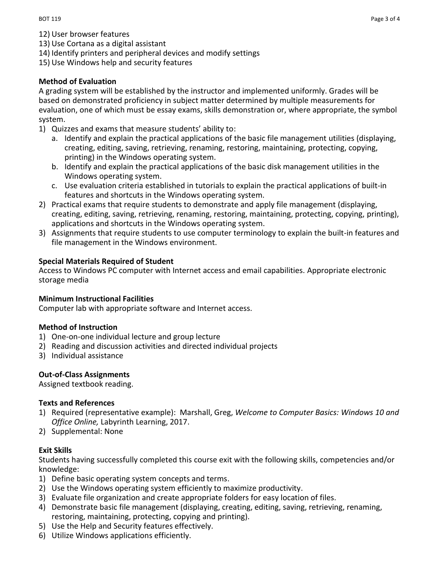- 12) User browser features
- 13) Use Cortana as a digital assistant
- 14) Identify printers and peripheral devices and modify settings
- 15) Use Windows help and security features

# **Method of Evaluation**

A grading system will be established by the instructor and implemented uniformly. Grades will be based on demonstrated proficiency in subject matter determined by multiple measurements for evaluation, one of which must be essay exams, skills demonstration or, where appropriate, the symbol system.

- 1) Quizzes and exams that measure students' ability to:
	- a. Identify and explain the practical applications of the basic file management utilities (displaying, creating, editing, saving, retrieving, renaming, restoring, maintaining, protecting, copying, printing) in the Windows operating system.
	- b. Identify and explain the practical applications of the basic disk management utilities in the Windows operating system.
	- c. Use evaluation criteria established in tutorials to explain the practical applications of built-in features and shortcuts in the Windows operating system.
- 2) Practical exams that require students to demonstrate and apply file management (displaying, creating, editing, saving, retrieving, renaming, restoring, maintaining, protecting, copying, printing), applications and shortcuts in the Windows operating system.
- 3) Assignments that require students to use computer terminology to explain the built-in features and file management in the Windows environment.

# **Special Materials Required of Student**

Access to Windows PC computer with Internet access and email capabilities. Appropriate electronic storage media

# **Minimum Instructional Facilities**

Computer lab with appropriate software and Internet access.

# **Method of Instruction**

- 1) One-on-one individual lecture and group lecture
- 2) Reading and discussion activities and directed individual projects
- 3) Individual assistance

# **Out-of-Class Assignments**

Assigned textbook reading.

# **Texts and References**

- 1) Required (representative example): Marshall, Greg, *Welcome to Computer Basics: Windows 10 and Office Online,* Labyrinth Learning, 2017.
- 2) Supplemental: None

# **Exit Skills**

Students having successfully completed this course exit with the following skills, competencies and/or knowledge:

- 1) Define basic operating system concepts and terms.
- 2) Use the Windows operating system efficiently to maximize productivity.
- 3) Evaluate file organization and create appropriate folders for easy location of files.
- 4) Demonstrate basic file management (displaying, creating, editing, saving, retrieving, renaming, restoring, maintaining, protecting, copying and printing).
- 5) Use the Help and Security features effectively.
- 6) Utilize Windows applications efficiently.